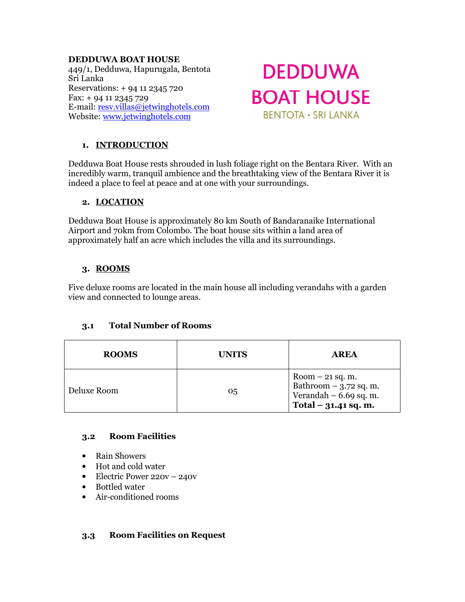#### **DEDDUWA BOAT HOUSE**

449/1, Dedduwa, Hapurugala, Bentota Sri Lanka Reservations: + 94 11 2345 720 Fax: + 94 11 2345 729 E-mail: resv.villas@jetwinghotels.com Website: www.jetwinghotels.com

# **DEDDUWA BOAT HOUSE BENTOTA · SRI LANKA**

# **1. INTRODUCTION**

Dedduwa Boat House rests shrouded in lush foliage right on the Bentara River. With an incredibly warm, tranquil ambience and the breathtaking view of the Bentara River it is indeed a place to feel at peace and at one with your surroundings.

## **2. LOCATION**

Dedduwa Boat House is approximately 80 km South of Bandaranaike International Airport and 70km from Colombo. The boat house sits within a land area of approximately half an acre which includes the villa and its surroundings.

# **3. ROOMS**

Five deluxe rooms are located in the main house all including verandahs with a garden view and connected to lounge areas.

## **3.1 Total Number of Rooms**

| <b>ROOMS</b> | <b>UNITS</b> | <b>AREA</b>                                                                                        |
|--------------|--------------|----------------------------------------------------------------------------------------------------|
| Deluxe Room  | 05           | $Room - 21$ sq. m.<br>Bathroom $-$ 3.72 sq. m.<br>Verandah $-6.69$ sq. m.<br>Total $-31.41$ sq. m. |

## **3.2 Room Facilities**

- Rain Showers
- Hot and cold water
- Electric Power 220v 240v
- Bottled water
- Air-conditioned rooms

## **3.3 Room Facilities on Request**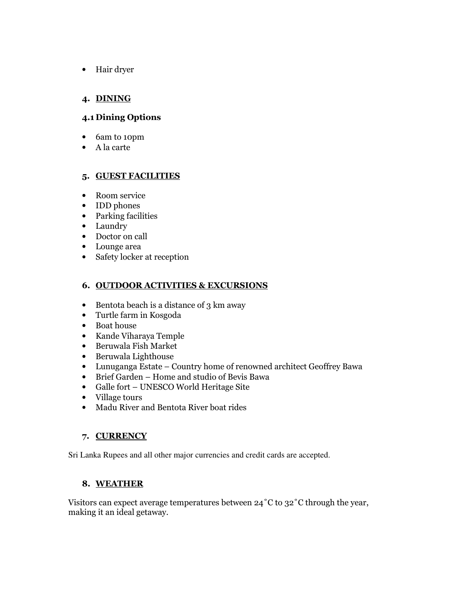• Hair dryer

# **4. DINING**

## **4.1 Dining Options**

- 6am to 10pm
- A la carte

## **5. GUEST FACILITIES**

- Room service
- **IDD** phones
- Parking facilities
- Laundry
- Doctor on call
- Lounge area
- Safety locker at reception

## **6. OUTDOOR ACTIVITIES & EXCURSIONS**

- Bentota beach is a distance of  $3 \text{ km}$  away
- Turtle farm in Kosgoda
- Boat house
- Kande Viharaya Temple
- Beruwala Fish Market
- Beruwala Lighthouse
- Lunuganga Estate Country home of renowned architect Geoffrey Bawa
- Brief Garden Home and studio of Bevis Bawa
- Galle fort UNESCO World Heritage Site
- Village tours
- Madu River and Bentota River boat rides

## **7. CURRENCY**

Sri Lanka Rupees and all other major currencies and credit cards are accepted.

# **8. WEATHER**

Visitors can expect average temperatures between 24˚C to 32˚C through the year, making it an ideal getaway.